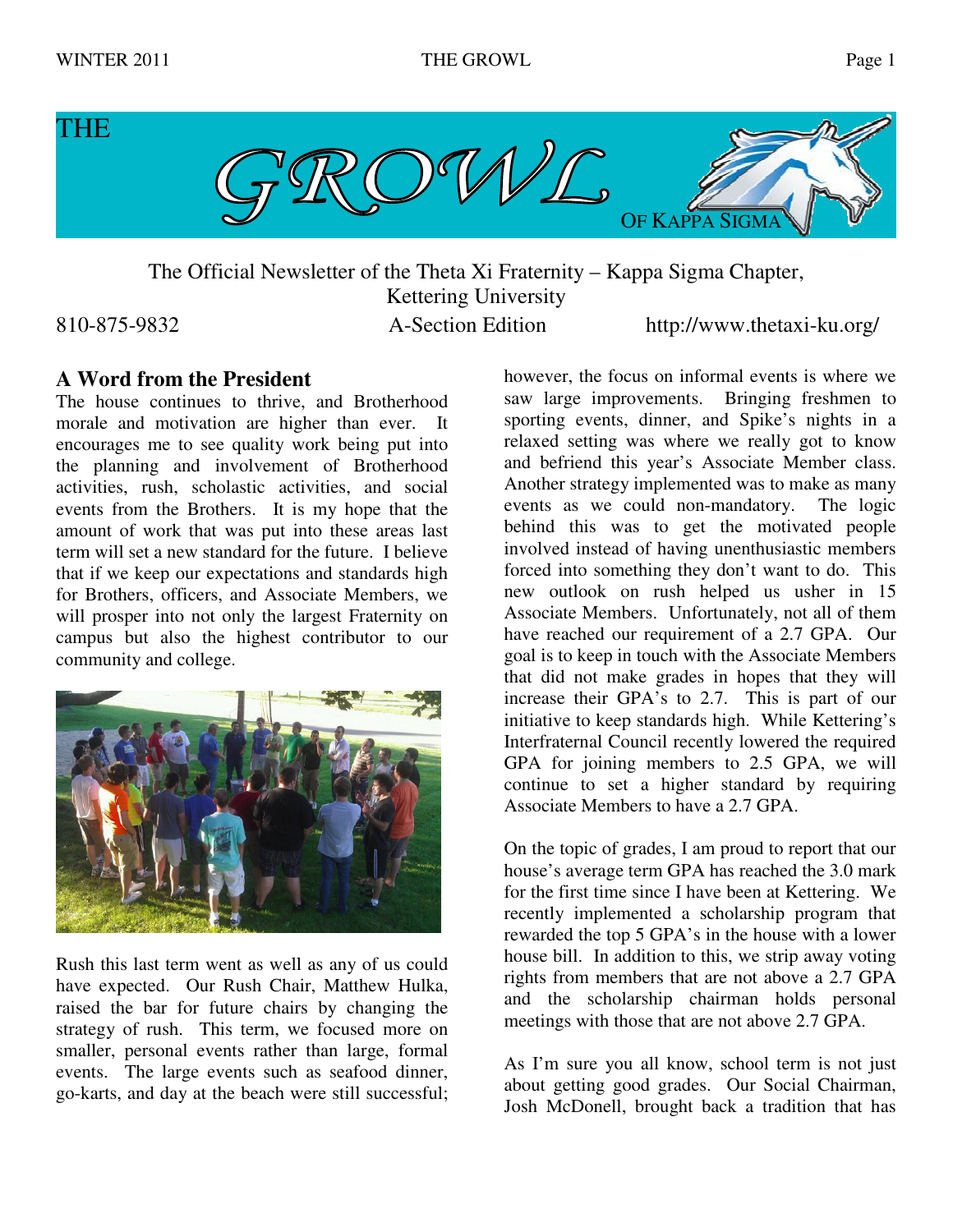

The Official Newsletter of the Theta Xi Fraternity – Kappa Sigma Chapter, Kettering University

810-875-9832 A-Section Edition http://www.thetaxi-ku.org/

# **A Word from the President**

The house continues to thrive, and Brotherhood morale and motivation are higher than ever. It encourages me to see quality work being put into the planning and involvement of Brotherhood activities, rush, scholastic activities, and social events from the Brothers. It is my hope that the amount of work that was put into these areas last term will set a new standard for the future. I believe that if we keep our expectations and standards high for Brothers, officers, and Associate Members, we will prosper into not only the largest Fraternity on campus but also the highest contributor to our community and college.



Rush this last term went as well as any of us could have expected. Our Rush Chair, Matthew Hulka, raised the bar for future chairs by changing the strategy of rush. This term, we focused more on smaller, personal events rather than large, formal events. The large events such as seafood dinner, go-karts, and day at the beach were still successful;

however, the focus on informal events is where we saw large improvements. Bringing freshmen to sporting events, dinner, and Spike's nights in a relaxed setting was where we really got to know and befriend this year's Associate Member class. Another strategy implemented was to make as many events as we could non-mandatory. The logic behind this was to get the motivated people involved instead of having unenthusiastic members forced into something they don't want to do. This new outlook on rush helped us usher in 15 Associate Members. Unfortunately, not all of them have reached our requirement of a 2.7 GPA. Our goal is to keep in touch with the Associate Members that did not make grades in hopes that they will increase their GPA's to 2.7. This is part of our initiative to keep standards high. While Kettering's Interfraternal Council recently lowered the required GPA for joining members to 2.5 GPA, we will continue to set a higher standard by requiring Associate Members to have a 2.7 GPA.

On the topic of grades, I am proud to report that our house's average term GPA has reached the 3.0 mark for the first time since I have been at Kettering. We recently implemented a scholarship program that rewarded the top 5 GPA's in the house with a lower house bill. In addition to this, we strip away voting rights from members that are not above a 2.7 GPA and the scholarship chairman holds personal meetings with those that are not above 2.7 GPA.

As I'm sure you all know, school term is not just about getting good grades. Our Social Chairman, Josh McDonell, brought back a tradition that has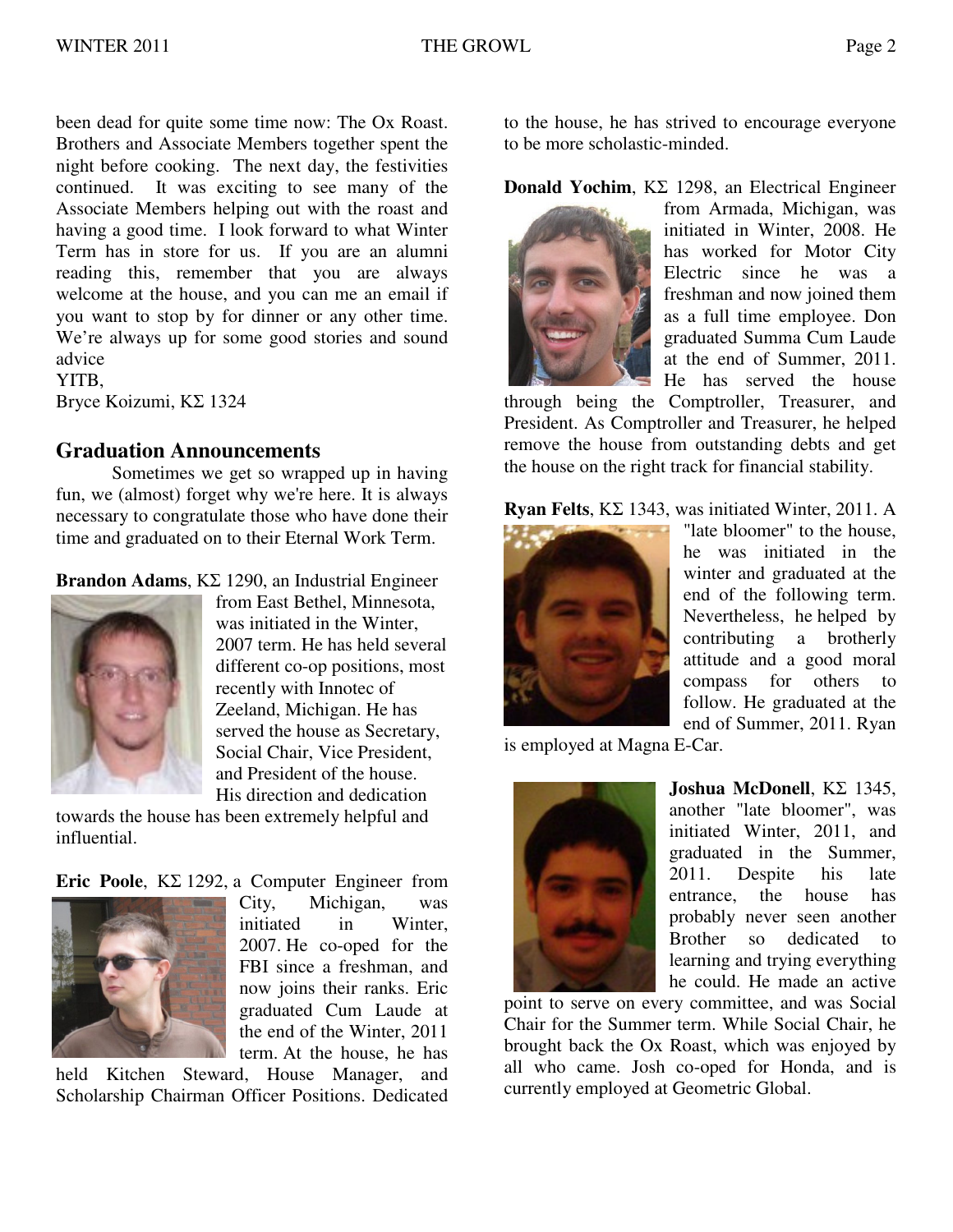been dead for quite some time now: The Ox Roast. Brothers and Associate Members together spent the night before cooking. The next day, the festivities continued. It was exciting to see many of the Associate Members helping out with the roast and having a good time. I look forward to what Winter Term has in store for us. If you are an alumni reading this, remember that you are always welcome at the house, and you can me an email if you want to stop by for dinner or any other time. We're always up for some good stories and sound advice YITB,

Bryce Koizumi, ΚΣ 1324

# **Graduation Announcements**

Sometimes we get so wrapped up in having fun, we (almost) forget why we're here. It is always necessary to congratulate those who have done their time and graduated on to their Eternal Work Term.

**Brandon Adams**, ΚΣ 1290, an Industrial Engineer



from East Bethel, Minnesota, was initiated in the Winter, 2007 term. He has held several different co-op positions, most recently with Innotec of Zeeland, Michigan. He has served the house as Secretary, Social Chair, Vice President, and President of the house. His direction and dedication

towards the house has been extremely helpful and influential.

**Eric Poole**, ΚΣ 1292, a Computer Engineer from



City, Michigan, was initiated in Winter, 2007. He co-oped for the FBI since a freshman, and now joins their ranks. Eric graduated Cum Laude at the end of the Winter, 2011 term. At the house, he has

held Kitchen Steward, House Manager, and Scholarship Chairman Officer Positions. Dedicated

to the house, he has strived to encourage everyone to be more scholastic-minded.

**Donald Yochim**, ΚΣ 1298, an Electrical Engineer



from Armada, Michigan, was initiated in Winter, 2008. He has worked for Motor City Electric since he was a freshman and now joined them as a full time employee. Don graduated Summa Cum Laude at the end of Summer, 2011. He has served the house

through being the Comptroller, Treasurer, and President. As Comptroller and Treasurer, he helped remove the house from outstanding debts and get the house on the right track for financial stability.

**Ryan Felts**, ΚΣ 1343, was initiated Winter, 2011. A



"late bloomer" to the house, he was initiated in the winter and graduated at the end of the following term. Nevertheless, he helped by contributing a brotherly attitude and a good moral compass for others to follow. He graduated at the end of Summer, 2011. Ryan

is employed at Magna E-Car.



**Joshua McDonell**, ΚΣ 1345, another "late bloomer", was initiated Winter, 2011, and graduated in the Summer, 2011. Despite his late entrance, the house has probably never seen another Brother so dedicated to learning and trying everything he could. He made an active

point to serve on every committee, and was Social Chair for the Summer term. While Social Chair, he brought back the Ox Roast, which was enjoyed by all who came. Josh co-oped for Honda, and is currently employed at Geometric Global.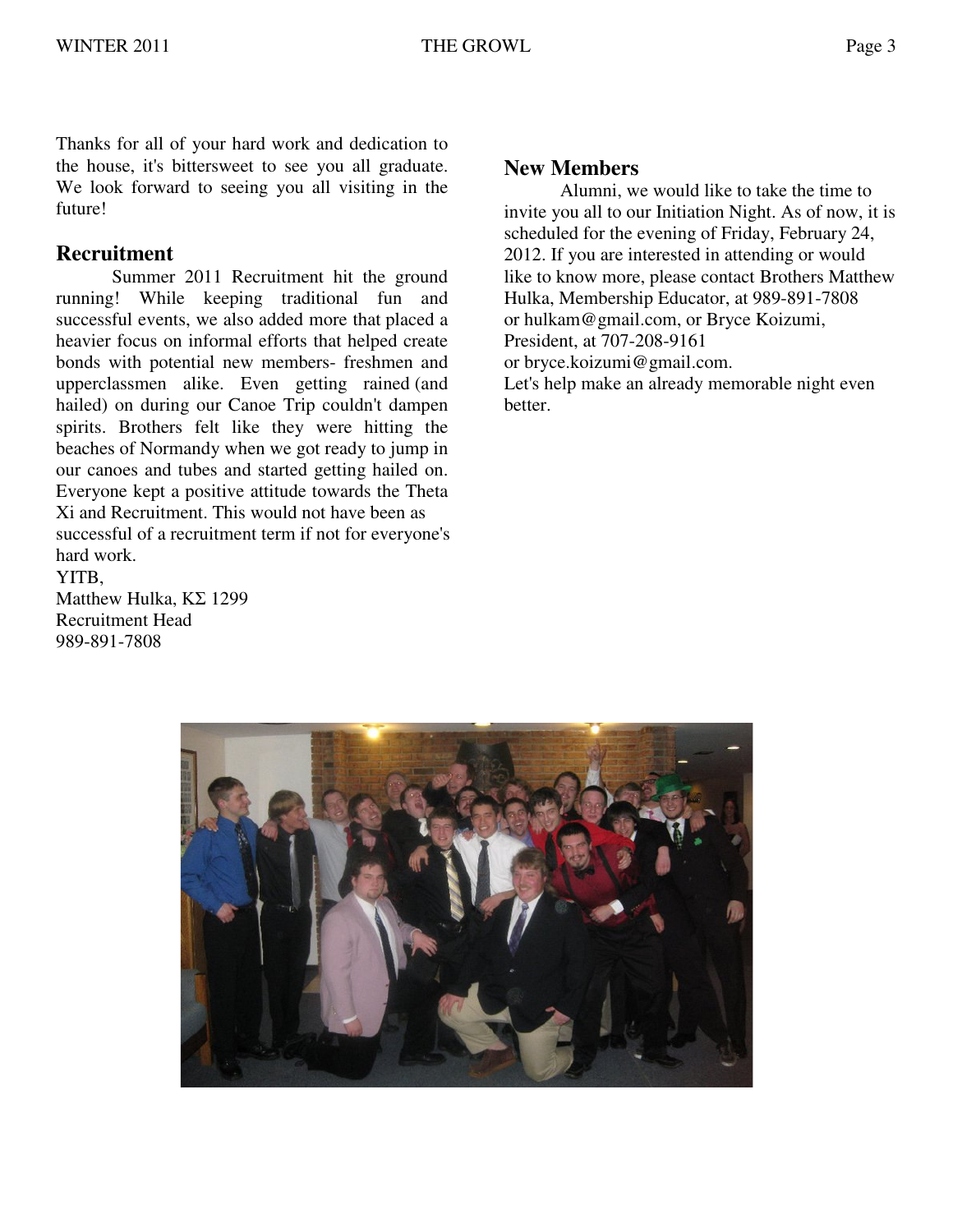Thanks for all of your hard work and dedication to the house, it's bittersweet to see you all graduate. We look forward to seeing you all visiting in the future!

### **Recruitment**

Summer 2011 Recruitment hit the ground running! While keeping traditional fun and successful events, we also added more that placed a heavier focus on informal efforts that helped create bonds with potential new members- freshmen and upperclassmen alike. Even getting rained (and hailed) on during our Canoe Trip couldn't dampen spirits. Brothers felt like they were hitting the beaches of Normandy when we got ready to jump in our canoes and tubes and started getting hailed on. Everyone kept a positive attitude towards the Theta Xi and Recruitment. This would not have been as successful of a recruitment term if not for everyone's hard work.

YITB, Matthew Hulka, ΚΣ 1299 Recruitment Head 989-891-7808

### **New Members**

Alumni, we would like to take the time to invite you all to our Initiation Night. As of now, it is scheduled for the evening of Friday, February 24, 2012. If you are interested in attending or would like to know more, please contact Brothers Matthew Hulka, Membership Educator, at 989-891-7808 or hulkam@gmail.com, or Bryce Koizumi, President, at 707-208-9161 or bryce.koizumi@gmail.com. Let's help make an already memorable night even

better.